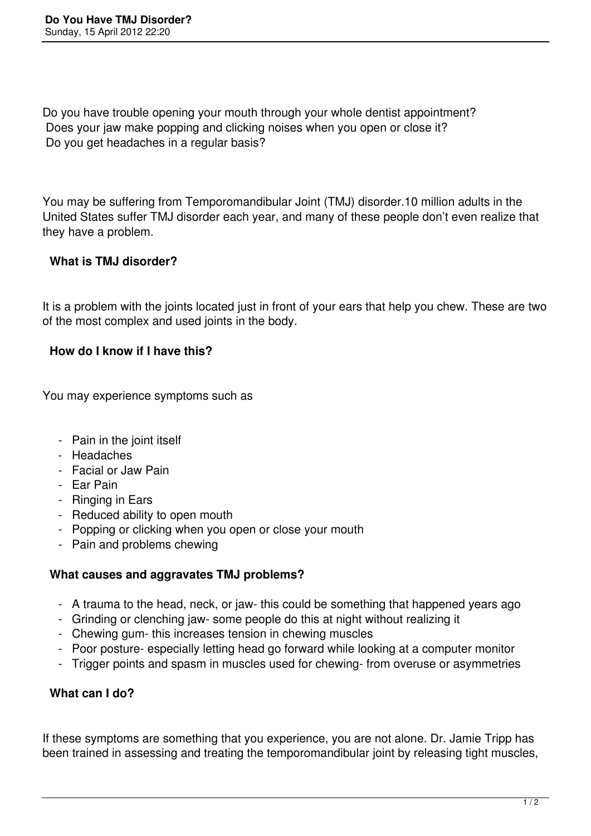Do you have trouble opening your mouth through your whole dentist appointment? Does your jaw make popping and clicking noises when you open or close it? Do you get headaches in a regular basis?

You may be suffering from Temporomandibular Joint (TMJ) disorder.10 million adults in the United States suffer TMJ disorder each year, and many of these people don't even realize that they have a problem.

## **What is TMJ disorder?**

It is a problem with the joints located just in front of your ears that help you chew. These are two of the most complex and used joints in the body.

## **How do I know if I have this?**

You may experience symptoms such as

- Pain in the joint itself
- Headaches
- Facial or Jaw Pain
- Ear Pain
- Ringing in Ears
- Reduced ability to open mouth
- Popping or clicking when you open or close your mouth
- Pain and problems chewing

## **What causes and aggravates TMJ problems?**

- A trauma to the head, neck, or jaw- this could be something that happened years ago
- Grinding or clenching jaw- some people do this at night without realizing it
- Chewing gum- this increases tension in chewing muscles
- Poor posture- especially letting head go forward while looking at a computer monitor
- Trigger points and spasm in muscles used for chewing- from overuse or asymmetries

## **What can I do?**

If these symptoms are something that you experience, you are not alone. Dr. Jamie Tripp has been trained in assessing and treating the temporomandibular joint by releasing tight muscles,